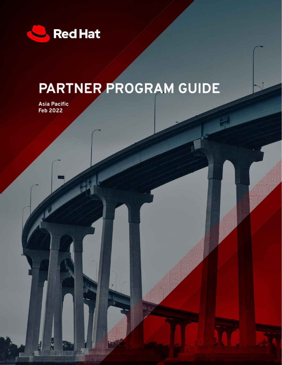

# PARTNER PROGRAM GUIDE

Asia Pacific<br>Feb 2022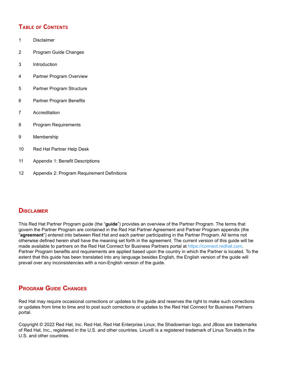# **TABLE OF CONTENTS**

- 1 Disclaimer
- 2 Program Guide Changes
- 3 Introduction
- 4 Partner Program Overview
- 5 Partner Program Structure
- 6 Partner Program Benefits
- 7 Accreditation
- 8 Program Requirements
- 9 Membership
- 10 Red Hat Partner Help Desk
- 11 Appendix 1: Benefit Descriptions
- 12 Appendix 2: Program Requirement Definitions

# **DISCLAIMER**

This Red Hat Partner Program guide (the "**guide**") provides an overview of the Partner Program. The terms that govern the Partner Program are contained in the Red Hat Partner Agreement and Partner Program appendix (the "**agreement**") entered into between Red Hat and each partner participating in the Partner Program. All terms not otherwise defined herein shall have the meaning set forth in the agreement. The current version of this guide will be made available to partners on the Red Hat Connect for Business Partners portal at https://connect.redhat.com. Partner Program benefits and requirements are applied based upon the country in which the Partner is located. To the extent that this guide has been translated into any language besides English, the English version of the guide will prevail over any inconsistencies with a non-English version of the guide.

# **PROGRAM GUIDE CHANGES**

Red Hat may require occasional corrections or updates to the guide and reserves the right to make such corrections or updates from time to time and to post such corrections or updates to the Red Hat Connect for Business Partners portal.

Copyright © 2022 Red Hat, Inc. Red Hat, Red Hat Enterprise Linux, the Shadowman logo, and JBoss are trademarks of Red Hat, Inc., registered in the U.S. and other countries. Linux® is a registered trademark of Linus Torvalds in the U.S. and other countries.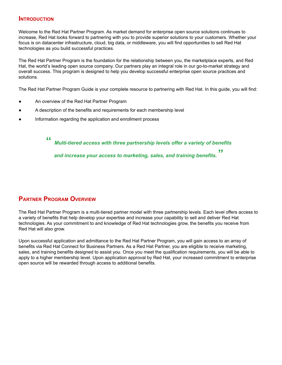# **INTRODUCTION**

Welcome to the Red Hat Partner Program. As market demand for enterprise open source solutions continues to increase, Red Hat looks forward to partnering with you to provide superior solutions to your customers. Whether your focus is on datacenter infrastructure, cloud, big data, or middleware, you will find opportunities to sell Red Hat technologies as you build successful practices.

The Red Hat Partner Program is the foundation for the relationship between you, the marketplace experts, and Red Hat, the world's leading open source company. Our partners play an integral role in our go-to-market strategy and overall success. This program is designed to help you develop successful enterprise open source practices and solutions.

The Red Hat Partner Program Guide is your complete resource to partnering with Red Hat. In this guide, you will find:

- An overview of the Red Hat Partner Program
- A description of the benefits and requirements for each membership level
- Information regarding the application and enrollment process

**"** *Multi-tiered access with three partnership levels offer a variety of benefits and increase your access to marketing, sales, and training benefits.* **"**

# **PARTNER PROGRAM OVERVIEW**

The Red Hat Partner Program is a multi-tiered partner model with three partnership levels. Each level offers access to a variety of benefits that help develop your expertise and increase your capability to sell and deliver Red Hat technologies. As your commitment to and knowledge of Red Hat technologies grow, the benefits you receive from Red Hat will also grow.

Upon successful application and admittance to the Red Hat Partner Program, you will gain access to an array of benefits via Red Hat Connect for Business Partners. As a Red Hat Partner, you are eligible to receive marketing, sales, and training benefits designed to assist you. Once you meet the qualification requirements, you will be able to apply to a higher membership level. Upon application approval by Red Hat, your increased commitment to enterprise open source will be rewarded through access to additional benefits.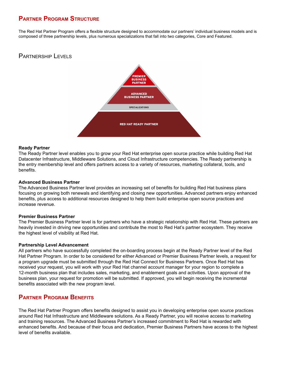# **PARTNER PROGRAM STRUCTURE**

The Red Hat Partner Program offers a flexible structure designed to accommodate our partners' individual business models and is composed of three partnership levels, plus numerous specializations that fall into two categories, Core and Featured.

# PARTNERSHIP LEVELS



## **Ready Partner**

The Ready Partner level enables you to grow your Red Hat enterprise open source practice while building Red Hat Datacenter Infrastructure, Middleware Solutions, and Cloud Infrastructure competencies. The Ready partnership is the entry membership level and offers partners access to a variety of resources, marketing collateral, tools, and benefits.

## **Advanced Business Partner**

The Advanced Business Partner level provides an increasing set of benefits for building Red Hat business plans focusing on growing both renewals and identifying and closing new opportunities. Advanced partners enjoy enhanced benefits, plus access to additional resources designed to help them build enterprise open source practices and increase revenue.

#### **Premier Business Partner**

The Premier Business Partner level is for partners who have a strategic relationship with Red Hat. These partners are heavily invested in driving new opportunities and contribute the most to Red Hat's partner ecosystem. They receive the highest level of visibility at Red Hat.

#### **Partnership Level Advancement**

All partners who have successfully completed the on-boarding process begin at the Ready Partner level of the Red Hat Partner Program. In order to be considered for either Advanced or Premier Business Partner levels, a request for a program upgrade must be submitted through the Red Hat Connect for Business Partners. Once Red Hat has received your request, you will work with your Red Hat channel account manager for your region to complete a 12-month business plan that includes sales, marketing, and enablement goals and activities. Upon approval of the business plan, your request for promotion will be submitted. If approved, you will begin receiving the incremental benefits associated with the new program level.

# **PARTNER PROGRAM BENEFITS**

The Red Hat Partner Program offers benefits designed to assist you in developing enterprise open source practices around Red Hat Infrastructure and Middleware solutions. As a Ready Partner, you will receive access to marketing and training resources. The Advanced Business Partner's increased commitment to Red Hat is rewarded with enhanced benefits. And because of their focus and dedication, Premier Business Partners have access to the highest level of benefits available.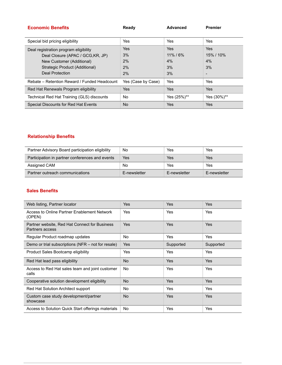| <b>Economic Benefits</b>                     | Ready              | <b>Advanced</b> | <b>Premier</b> |
|----------------------------------------------|--------------------|-----------------|----------------|
|                                              |                    |                 |                |
| Special bid pricing eligibility              | Yes                | Yes             | Yes            |
| Deal registration program eligibility        | Yes                | <b>Yes</b>      | <b>Yes</b>     |
| Deal Closure (APAC / GCG, KR, JP)            | 3%                 | $11\%$ / 6%     | 15% / 10%      |
| New Customer (Additional)                    | 2%                 | 4%              | 4%             |
| Strategic Product (Additional)               | 2%                 | 3%              | 3%             |
| Deal Protection                              | 2%                 | 3%              |                |
| Rebate – Retention Reward / Funded Headcount | Yes (Case by Case) | Yes             | Yes            |
| Red Hat Renewals Program eligibility         | Yes                | Yes             | <b>Yes</b>     |
| Technical Red Hat Training (GLS) discounts   | <b>No</b>          | Yes (25%)**     | Yes (30%)**    |
| Special Discounts for Red Hat Events         | <b>No</b>          | Yes             | Yes            |

# **Relationship Benefits**

| Partner Advisory Board participation eligibility | No           | Yes          | Yes          |
|--------------------------------------------------|--------------|--------------|--------------|
| Participation in partner conferences and events  | Yes          | Yes          | Yes          |
| Assigned CAM                                     | No           | Yes          | Yes          |
| Partner outreach communications                  | E-newsletter | E-newsletter | E-newsletter |

# **Sales Benefits**

| Web listing, Partner locator                                     | Yes        | Yes        | Yes        |
|------------------------------------------------------------------|------------|------------|------------|
| Access to Online Partner Enablement Network<br>(OPEN)            | Yes        | Yes        | Yes        |
| Partner website, Red Hat Connect for Business<br>Partners access | <b>Yes</b> | <b>Yes</b> | Yes        |
| Regular Product roadmap updates                                  | No.        | Yes        | Yes        |
| Demo or trial subscriptions (NFR – not for resale)               | <b>Yes</b> | Supported  | Supported  |
| Product Sales Bootcamp eligibility                               | Yes        | Yes        | Yes        |
| Red Hat lead pass eligibility                                    | <b>No</b>  | <b>Yes</b> | Yes        |
| Access to Red Hat sales team and joint customer<br>calls         | No.        | Yes        | Yes        |
| Cooperative solution development eligibility                     | <b>No</b>  | <b>Yes</b> | <b>Yes</b> |
| Red Hat Solution Architect support                               | No         | Yes        | Yes        |
| Custom case study development/partner<br>showcase                | <b>No</b>  | <b>Yes</b> | Yes        |
| Access to Solution Quick Start offerings materials               | No         | Yes        | Yes        |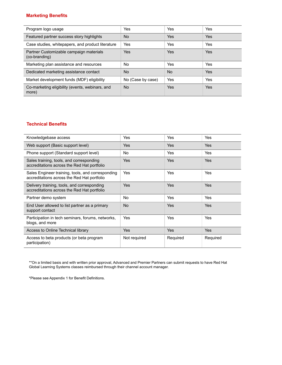# **Marketing Benefits**

| Program logo usage                                       | Yes               | Yes            | Yes        |
|----------------------------------------------------------|-------------------|----------------|------------|
| Featured partner success story highlights                | <b>No</b>         | Yes            | <b>Yes</b> |
| Case studies, whitepapers, and product literature        | Yes               | Yes            | Yes        |
| Partner Customizable campaign materials<br>(co-branding) | <b>Yes</b>        | Yes            | <b>Yes</b> |
| Marketing plan assistance and resources                  | No.               | Yes            | Yes        |
| Dedicated marketing assistance contact                   | <b>No</b>         | N <sub>o</sub> | <b>Yes</b> |
| Market development funds (MDF) eligibility               | No (Case by case) | Yes            | Yes        |
| Co-marketing eligibility (events, webinars, and<br>more) | <b>No</b>         | Yes            | <b>Yes</b> |

# **Technical Benefits**

| Knowledgebase access                                                                             | Yes          | Yes        | Yes      |
|--------------------------------------------------------------------------------------------------|--------------|------------|----------|
| Web support (Basic support level)                                                                | Yes          | <b>Yes</b> | Yes      |
| Phone support (Standard support level)                                                           | <b>No</b>    | Yes        | Yes      |
| Sales training, tools, and corresponding<br>accreditations across the Red Hat portfolio          | Yes          | <b>Yes</b> | Yes      |
| Sales Engineer training, tools, and corresponding<br>accreditations across the Red Hat portfolio | Yes          | Yes        | Yes      |
| Delivery training, tools, and corresponding<br>accreditations across the Red Hat portfolio       | <b>Yes</b>   | <b>Yes</b> | Yes      |
| Partner demo system                                                                              | <b>No</b>    | Yes        | Yes      |
| End User allowed to list partner as a primary<br>support contact                                 | <b>No</b>    | Yes        | Yes      |
| Participation in tech seminars, forums, networks,<br>blogs, and more                             | Yes          | Yes        | Yes      |
| Access to Online Technical library                                                               | Yes          | Yes        | Yes      |
| Access to beta products (or beta program<br>participation)                                       | Not required | Required   | Required |

\*\*On a limited basis and with written prior approval, Advanced and Premier Partners can submit requests to have Red Hat Global Learning Systems classes reimbursed through their channel account manager.

\*Please see Appendix 1 for Benefit Definitions.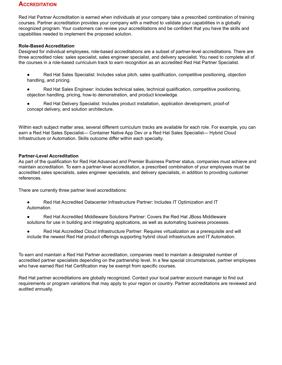# **ACCREDITATION**

Red Hat Partner Accreditation is earned when individuals at your company take a prescribed combination of training courses. Partner accreditation provides your company with a method to validate your capabilities in a globally recognized program. Your customers can review your accreditations and be confident that you have the skills and capabilities needed to implement the proposed solution.

# **Role-Based Accreditation**

Designed for individual employees, role-based accreditations are a subset of partner-level accreditations. There are three accredited roles: sales specialist, sales engineer specialist, and delivery specialist. You need to complete all of the courses in a role-based curriculum track to earn recognition as an accredited Red Hat Partner Specialist.

- Red Hat Sales Specialist: Includes value pitch, sales qualification, competitive positioning, objection handling, and pricing.
- Red Hat Sales Engineer: Includes technical sales, technical qualification, competitive positioning, objection handling, pricing, how-to demonstration, and product knowledge.
- Red Hat Delivery Specialist: Includes product installation, application development, proof-of concept delivery, and solution architecture.

Within each subject matter area, several different curriculum tracks are available for each role. For example, you can earn a Red Hat Sales Specialist— Container Native App Dev or a Red Hat Sales Specialist— Hybrid Cloud Infrastructure or Automation. Skills outcome differ within each specialty.

# **Partner-Level Accreditation**

As part of the qualification for Red Hat Advanced and Premier Business Partner status, companies must achieve and maintain accreditation. To earn a partner-level accreditation, a prescribed combination of your employees must be accredited sales specialists, sales engineer specialists, and delivery specialists, in addition to providing customer references.

There are currently three partner level accreditations:

- Red Hat Accredited Datacenter Infrastructure Partner: Includes IT Optimization and IT Automation.
- Red Hat Accredited Middleware Solutions Partner: Covers the Red Hat JBoss Middleware solutions for use in building and integrating applications, as well as automating business processes.
- Red Hat Accredited Cloud Infrastructure Partner: Requires virtualization as a prerequisite and will include the newest Red Hat product offerings supporting hybrid cloud infrastructure and IT Automation.

To earn and maintain a Red Hat Partner accreditation, companies need to maintain a designated number of accredited partner specialists depending on the partnership level. In a few special circumstances, partner employees who have earned Red Hat Certification may be exempt from specific courses.

Red Hat partner accreditations are globally recognized. Contact your local partner account manager to find out requirements or program variations that may apply to your region or country. Partner accreditations are reviewed and audited annually.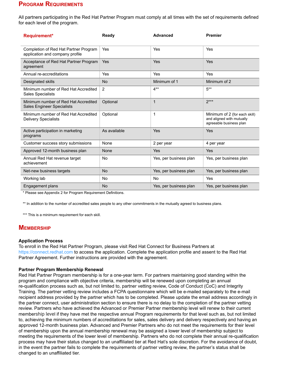# **PROGRAM REQUIREMENTS**

All partners participating in the Red Hat Partner Program must comply at all times with the set of requirements defined for each level of the program.

| <b>Requirement*</b>                                                       | Ready        | <b>Advanced</b>        | <b>Premier</b>                                                                        |
|---------------------------------------------------------------------------|--------------|------------------------|---------------------------------------------------------------------------------------|
| Completion of Red Hat Partner Program<br>application and company profile  | Yes          | Yes                    | Yes                                                                                   |
| Acceptance of Red Hat Partner Program<br>agreement                        | Yes          | Yes                    | <b>Yes</b>                                                                            |
| Annual re-accreditations                                                  | Yes          | Yes                    | Yes                                                                                   |
| Designated skills                                                         | <b>No</b>    | Minimum of 1           | Minimum of 2                                                                          |
| Minimum number of Red Hat Accredited<br><b>Sales Specialists</b>          | 2            | $4**$                  | $5***$                                                                                |
| Minimum number of Red Hat Accredited<br><b>Sales Engineer Specialists</b> | Optional     | $\mathbf{1}$           | $2***$                                                                                |
| Minimum number of Red Hat Accredited<br><b>Delivery Specialists</b>       | Optional     | 1                      | Minimum of 2 (for each skill)<br>and aligned with mutually<br>agreeable business plan |
| Active participation in marketing<br>programs                             | As available | Yes                    | Yes                                                                                   |
| Customer success story submissions                                        | None         | 2 per year             | 4 per year                                                                            |
| Approved 12-month business plan                                           | None         | <b>Yes</b>             | <b>Yes</b>                                                                            |
| Annual Red Hat revenue target<br>achievement                              | No           | Yes, per business plan | Yes, per business plan                                                                |
| Net-new business targets                                                  | <b>No</b>    | Yes, per business plan | Yes, per business plan                                                                |
| Working lab                                                               | <b>No</b>    | <b>No</b>              | <b>Yes</b>                                                                            |
| Engagement plans                                                          | <b>No</b>    | Yes, per business plan | Yes, per business plan                                                                |

\* Please see Appendix 2 for Program Requirement Definitions.

\*\* In addition to the number of accredited sales people to any other commitments in the mutually agreed to business plans.

\*\*\* This is a minimum requirement for each skill.

# **MEMBERSHIP**

#### **Application Process**

To enroll in the Red Hat Partner Program, please visit Red Hat Connect for Business Partners at <https://connect.redhat.com> to access the application. Complete the application profile and assent to the Red Hat Partner Agreement. Further instructions are provided with the agreement.

#### **Partner Program Membership Renewal**

Red Hat Partner Program membership is for a one-year term. For partners maintaining good standing within the program and compliance with objective criteria, membership will be renewed upon completing an annual re-qualification process such as, but not limited to, partner vetting review, Code of Conduct (CoC) and Integrity Training. The partner vetting review includes a FCPA questionnaire which will be e-mailed separately to the e-mail recipient address provided by the partner which has to be completed. Please update the email address accordingly in the partner connect, user administration section to ensure there is no delay to the completion of the partner vetting review. Partners who have achieved the Advanced or Premier Partner membership level will renew to their current membership level if they have met the respective annual Program requirements for that level such as, but not limited to, achieving the minimum numbers of accreditations for sales, sales delivery and delivery respectively and having an approved 12-month business plan. Advanced and Premier Partners who do not meet the requirements for their level of membership upon the annual membership renewal may be assigned a lower level of membership subject to meeting the requirements of the lower level of membership. Partners who do not complete their annual re-qualification process may have their status changed to an unaffiliated tier at Red Hat's sole discretion. For the avoidance of doubt, in the event the partner fails to complete the requirements of partner vetting review, the partner's status shall be changed to an unaffiliated tier.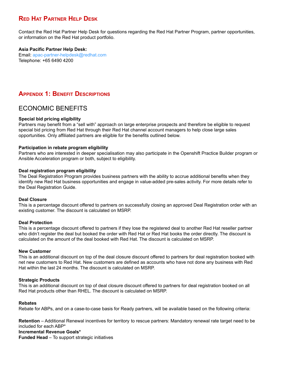# **RED HAT PARTNER HELP DESK**

Contact the Red Hat Partner Help Desk for questions regarding the Red Hat Partner Program, partner opportunities, or information on the Red Hat product portfolio.

# **Asia Pacific Partner Help Desk:**

Email: apac-partner-helpdesk@redhat.com Telephone: +65 6490 4200

# **APPENDIX 1: BENEFIT DESCRIPTIONS**

# ECONOMIC BENEFITS

# **Special bid pricing eligibility**

Partners may benefit from a "sell with" approach on large enterprise prospects and therefore be eligible to request special bid pricing from Red Hat through their Red Hat channel account managers to help close large sales opportunities. Only affiliated partners are eligible for the benefits outlined below.

# **Participation in rebate program eligibility**

Partners who are interested in deeper specialisation may also participate in the Openshift Practice Builder program or Ansible Acceleration program or both, subject to eligibility.

# **Deal registration program eligibility**

The Deal Registration Program provides business partners with the ability to accrue additional benefits when they identify new Red Hat business opportunities and engage in value-added pre-sales activity. For more details refer to the Deal Registration Guide.

# **Deal Closure**

This is a percentage discount offered to partners on successfully closing an approved Deal Registration order with an existing customer. The discount is calculated on MSRP.

# **Deal Protection**

This is a percentage discount offered to partners if they lose the registered deal to another Red Hat reseller partner who didn't register the deal but booked the order with Red Hat or Red Hat books the order directly. The discount is calculated on the amount of the deal booked with Red Hat. The discount is calculated on MSRP.

# **New Customer**

This is an additional discount on top of the deal closure discount offered to partners for deal registration booked with net new customers to Red Hat. New customers are defined as accounts who have not done any business with Red Hat within the last 24 months. The discount is calculated on MSRP.

# **Strategic Products**

This is an additional discount on top of deal closure discount offered to partners for deal registration booked on all Red Hat products other than RHEL. The discount is calculated on MSRP.

# **Rebates**

Rebate for ABPs, and on a case-to-case basis for Ready partners, will be available based on the following criteria:

**Retention** – Additional Renewal incentives for territory to rescue partners: Mandatory renewal rate target need to be included for each ABP\*

# **Incremental Revenue Goals\***

**Funded Head** – To support strategic initiatives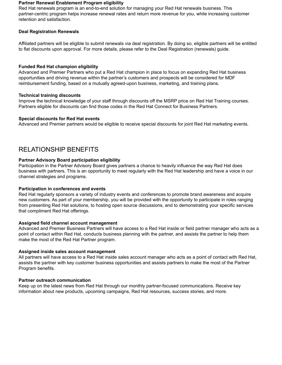#### **Partner Renewal Enablement Program eligibility**

Red Hat renewals program is an end-to-end solution for managing your Red Hat renewals business. This partner-centric program helps increase renewal rates and return more revenue for you, while increasing customer retention and satisfaction.

# **Deal Registration Renewals**

Affiliated partners will be eligible to submit renewals via deal registration. By doing so, eligible partners will be entitled to flat discounts upon approval. For more details, please refer to the Deal Registration (renewals) guide.

# **Funded Red Hat champion eligibility**

Advanced and Premier Partners who put a Red Hat champion in place to focus on expanding Red Hat business opportunities and driving revenue within the partner's customers and prospects will be considered for MDF reimbursement funding, based on a mutually agreed-upon business, marketing, and training plans.

## **Technical training discounts**

Improve the technical knowledge of your staff through discounts off the MSRP price on Red Hat Training courses. Partners eligible for discounts can find those codes in the Red Hat Connect for Business Partners.

## **Special discounts for Red Hat events**

Advanced and Premier partners would be eligible to receive special discounts for joint Red Hat marketing events.

# RELATIONSHIP BENEFITS

## **Partner Advisory Board participation eligibility**

Participation in the Partner Advisory Board gives partners a chance to heavily influence the way Red Hat does business with partners. This is an opportunity to meet regularly with the Red Hat leadership and have a voice in our channel strategies and programs.

#### **Participation in conferences and events**

Red Hat regularly sponsors a variety of industry events and conferences to promote brand awareness and acquire new customers. As part of your membership, you will be provided with the opportunity to participate in roles ranging from presenting Red Hat solutions, to hosting open source discussions, and to demonstrating your specific services that compliment Red Hat offerings.

#### **Assigned field channel account management**

Advanced and Premier Business Partners will have access to a Red Hat inside or field partner manager who acts as a point of contact within Red Hat, conducts business planning with the partner, and assists the partner to help them make the most of the Red Hat Partner program.

#### **Assigned inside sales account management**

All partners will have access to a Red Hat inside sales account manager who acts as a point of contact with Red Hat, assists the partner with key customer business opportunities and assists partners to make the most of the Partner Program benefits.

#### **Partner outreach communication**

Keep up on the latest news from Red Hat through our monthly partner-focused communications. Receive key information about new products, upcoming campaigns, Red Hat resources, success stories, and more.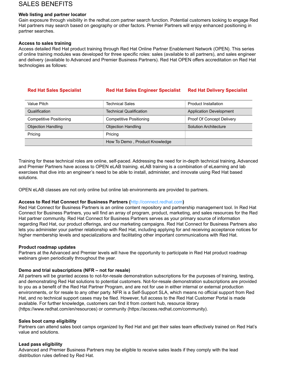# SALES BENEFITS

## **Web listing and partner locator**

Gain exposure through visibility in the redhat.com partner search function. Potential customers looking to engage Red Hat partners may search based on geography or other factors. Premier Partners will enjoy enhanced positioning in partner searches.

## **Access to sales training**

Access detailed Red Hat product training through Red Hat Online Partner Enablement Network (OPEN). This series of online training modules was developed for three specific roles: sales (available to all partners), and sales engineer and delivery (available to Advanced and Premier Business Partners). Red Hat OPEN offers accreditation on Red Hat technologies as follows:

| <b>Red Hat Sales Specialist</b> | <b>Red Hat Sales Engineer Specialist</b> | <b>Red Hat Delivery Specialist</b> |
|---------------------------------|------------------------------------------|------------------------------------|
| Value Pitch                     | <b>Technical Sales</b>                   | <b>Product Installation</b>        |
| Qualification                   | <b>Technical Qualification</b>           | <b>Application Development</b>     |
| <b>Competitive Positioning</b>  | Competitive Positioning                  | Proof Of Concept Delivery          |
| <b>Objection Handling</b>       | <b>Objection Handling</b>                | Solution Architecture              |
| Pricing                         | Pricing                                  |                                    |
|                                 | How To Demo, Product Knowledge           |                                    |

Training for these technical roles are online, self-paced. Addressing the need for in-depth technical training, Advanced and Premier Partners have access to OPEN eLAB training. eLAB training is a combination of eLearning and lab exercises that dive into an engineer's need to be able to install, administer, and innovate using Red Hat based solutions.

OPEN eLAB classes are not only online but online lab environments are provided to partners.

# **Access to Red Hat Connect for Business Partners (**http://connect.redhat.com**)**

Red Hat Connect for Business Partners is an online content repository and partnership management tool. In Red Hat Connect for Business Partners, you will find an array of program, product, marketing, and sales resources for the Red Hat partner community. Red Hat Connect for Business Partners serves as your primary source of information regarding Red Hat, our product offerings, and our marketing campaigns. Red Hat Connect for Business Partners also lets you administer your partner relationship with Red Hat, including applying for and receiving acceptance notices for higher membership levels and specializations and facilitating other important communications with Red Hat.

# **Product roadmap updates**

Partners at the Advanced and Premier levels will have the opportunity to participate in Red Hat product roadmap webinars given periodically throughout the year.

# **Demo and trial subscriptions (NFR – not for resale)**

All partners will be granted access to not-for-resale demonstration subscriptions for the purposes of training, testing, and demonstrating Red Hat solutions to potential customers. Not-for-resale demonstration subscriptions are provided to you as a benefit of the Red Hat Partner Program, and are not for use in either internal or external production environments, or for resale to any other party. NFR is a Self-Support SLA, which means no official support from Red Hat, and no technical support cases may be filed. However, full access to the Red Hat Customer Portal is made available. For further knowledge, customers can find it from content hub, resource library (https://www.redhat.com/en/resources) or community (https://access.redhat.com/community).

#### **Sales boot camp eligibility**

Partners can attend sales boot camps organized by Red Hat and get their sales team effectively trained on Red Hat's value and solutions.

#### **Lead pass eligibility**

Advanced and Premier Business Partners may be eligible to receive sales leads if they comply with the lead distribution rules defined by Red Hat.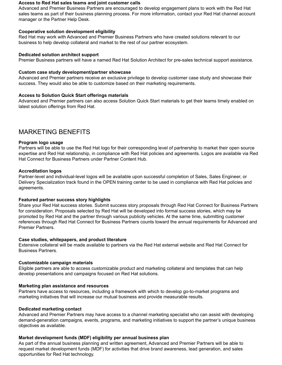#### **Access to Red Hat sales teams and joint customer calls**

Advanced and Premier Business Partners are encouraged to develop engagement plans to work with the Red Hat sales teams as part of their business planning process. For more information, contact your Red Hat channel account manager or the Partner Help Desk.

## **Cooperative solution development eligibility**

Red Hat may work with Advanced and Premier Business Partners who have created solutions relevant to our business to help develop collateral and market to the rest of our partner ecosystem.

## **Dedicated solution architect support**

Premier Business partners will have a named Red Hat Solution Architect for pre-sales technical support assistance.

## **Custom case study development/partner showcase**

Advanced and Premier partners receive an exclusive privilege to develop customer case study and showcase their success. They would also be able to customize based on their marketing requirements.

# **Access to Solution Quick Start offerings materials**

Advanced and Premier partners can also access Solution Quick Start materials to get their teams timely enabled on latest solution offerings from Red Hat.

# MARKETING BENEFITS

## **Program logo usage**

Partners will be able to use the Red Hat logo for their corresponding level of partnership to market their open source expertise and Red Hat relationship, in compliance with Red Hat policies and agreements. Logos are available via Red Hat Connect for Business Partners under Partner Content Hub.

## **Accreditation logos**

Partner-level and individual-level logos will be available upon successful completion of Sales, Sales Engineer, or Delivery Specialization track found in the OPEN training center to be used in compliance with Red Hat policies and agreements.

# **Featured partner success story highlights**

Share your Red Hat success stories. Submit success story proposals through Red Hat Connect for Business Partners for consideration. Proposals selected by Red Hat will be developed into formal success stories, which may be promoted by Red Hat and the partner through various publicity vehicles. At the same time, submitting customer references through Red Hat Connect for Business Partners counts toward the annual requirements for Advanced and Premier Partners.

# **Case studies, whitepapers, and product literature**

Extensive collateral will be made available to partners via the Red Hat external website and Red Hat Connect for Business Partners.

# **Customizable campaign materials**

Eligible partners are able to access customizable product and marketing collateral and templates that can help develop presentations and campaigns focused on Red Hat solutions.

#### **Marketing plan assistance and resources**

Partners have access to resources, including a framework with which to develop go-to-market programs and marketing initiatives that will increase our mutual business and provide measurable results.

#### **Dedicated marketing contact**

Advanced and Premier Partners may have access to a channel marketing specialist who can assist with developing demand-generation campaigns, events, programs, and marketing initiatives to support the partner's unique business objectives as available.

#### **Market development funds (MDF) eligibility per annual business plan**

As part of the annual business planning and written agreement, Advanced and Premier Partners will be able to request market development funds (MDF) for activities that drive brand awareness, lead generation, and sales opportunities for Red Hat technology.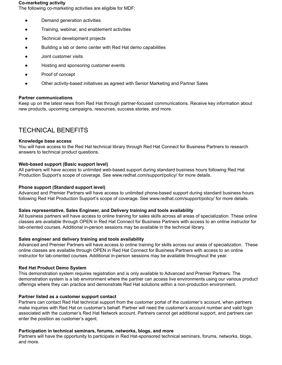#### **Co-marketing activity**

The following co-marketing activities are eligible for MDF:

- Demand generation activities
- Training, webinar, and enablement activities
- Technical development projects
- Building a lab or demo center with Red Hat demo capabilities
- Joint customer visits
- Hosting and sponsoring customer events
- Proof of concept
- Other activity-based initiatives as agreed with Senior Marketing and Partner Sales

#### **Partner communications**

Keep up on the latest news from Red Hat through partner-focused communications. Receive key information about new products, upcoming campaigns, resources, success stories, and more.

# TECHNICAL BENEFITS

#### **Knowledge base access**

You will have access to the Red Hat technical library through Red Hat Connect for Business Partners to research answers to technical product questions.

#### **Web-based support (Basic support level)**

All partners will have access to unlimited web-based support during standard business hours following Red Hat Production Support's scope of coverage. See www.redhat.com/support/policy/ for more details.

#### **Phone support (Standard support level)**

Advanced and Premier Partners will have access to unlimited phone-based support during standard business hours following Red Hat Production Support's scope of coverage. See www.redhat.com/support/policy/ for more details.

#### **Sales representative, Sales Engineer, and Delivery training and tools availability**

All business partners will have access to online training for sales skills across all areas of specialization. These online classes are available through OPEN in Red Hat Connect for Business Partners with access to an online instructor for lab-oriented courses. Additional in-person sessions may be available in the technical library.

#### **Sales engineer and delivery training and tools availability**

Advanced and Premier Partners will have access to online training for skills across our areas of specialization. These online classes are available through OPEN in Red Hat Connect for Business Partners with access to an online instructor for lab-oriented courses. Additional in-person sessions may be available throughout the year.

#### **Red Hat Product Demo System**

This demonstration system requires registration and is only available to Advanced and Premier Partners. The demonstration system is a lab environment where the partner can access live environments using our various product offerings where they can practice and demonstrate Red Hat solutions within a non-production environment.

#### **Partner listed as a customer support contact**

Partners can contact Red Hat technical support from the customer portal of the customer's account, when partners make inquiries with Red Hat on customer's behalf. Partner will need the customer's account number and valid login associated with the customer's Red Hat Network account. Partners cannot get additional support, and partners can enter the position as customer's agent.

#### **Participation in technical seminars, forums, networks, blogs, and more**

Partners will have the opportunity to participate in Red Hat-sponsored technical seminars, forums, networks, blogs, and more.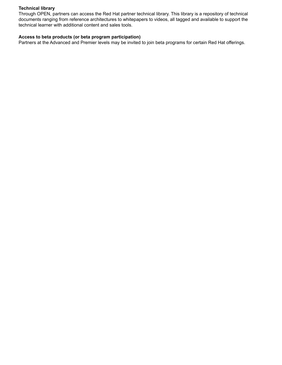# **Technical library**

Through OPEN, partners can access the Red Hat partner technical library. This library is a repository of technical documents ranging from reference architectures to whitepapers to videos, all tagged and available to support the technical learner with additional content and sales tools.

## **Access to beta products (or beta program participation)**

Partners at the Advanced and Premier levels may be invited to join beta programs for certain Red Hat offerings.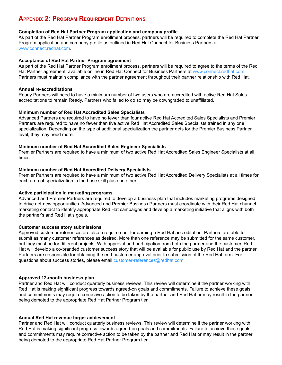# **APPENDIX 2: PROGRAM REQUIREMENT DEFINITIONS**

## **Completion of Red Hat Partner Program application and company profile**

As part of the Red Hat Partner Program enrollment process, partners will be required to complete the Red Hat Partner Program application and company profile as outlined in Red Hat Connect for Business Partners at www.connect.redhat.com.

## **Acceptance of Red Hat Partner Program agreement**

As part of the Red Hat Partner Program enrollment process, partners will be required to agree to the terms of the Red Hat Partner agreement, available online in Red Hat Connect for Business Partners at www.connect.redhat.com. Partners must maintain compliance with the partner agreement throughout their partner relationship with Red Hat.

## **Annual re-accreditations**

Ready Partners will need to have a minimum number of two users who are accredited with active Red Hat Sales accreditations to remain Ready. Partners who failed to do so may be downgraded to unaffiliated.

## **Minimum number of Red Hat Accredited Sales Specialists**

Advanced Partners are required to have no fewer than four active Red Hat Accredited Sales Specialists and Premier Partners are required to have no fewer than five active Red Hat Accredited Sales Specialists trained in any one specialization. Depending on the type of additional specialization the partner gets for the Premier Business Partner level, they may need more.

## **Minimum number of Red Hat Accredited Sales Engineer Specialists**

Premier Partners are required to have a minimum of two active Red Hat Accredited Sales Engineer Specialists at all times.

# **Minimum number of Red Hat Accredited Delivery Specialists**

Premier Partners are required to have a minimum of two active Red Hat Accredited Delivery Specialists at all times for each area of specialization in the base skill plus one other.

# **Active participation in marketing programs**

Advanced and Premier Partners are required to develop a business plan that includes marketing programs designed to drive net-new opportunities. Advanced and Premier Business Partners must coordinate with their Red Hat channel marketing contact to identify appropriate Red Hat campaigns and develop a marketing initiative that aligns with both the partner's and Red Hat's goals.

#### **Customer success story submissions**

Approved customer references are also a requirement for earning a Red Hat accreditation. Partners are able to submit as many customer references as desired. More than one reference may be submitted for the same customer, but they must be for different projects. With approval and participation from both the partner and the customer, Red Hat will develop a co-branded customer success story that will be available for public use by Red Hat and the partner. Partners are responsible for obtaining the end-customer approval prior to submission of the Red Hat form. For questions about success stories, please email [customer-references@redhat.com](mailto:customer-references@redhat.com).

# **Approved 12-month business plan**

Partner and Red Hat will conduct quarterly business reviews. This review will determine if the partner working with Red Hat is making significant progress towards agreed-on goals and commitments. Failure to achieve these goals and commitments may require corrective action to be taken by the partner and Red Hat or may result in the partner being demoted to the appropriate Red Hat Partner Program tier.

#### **Annual Red Hat revenue target achievement**

Partner and Red Hat will conduct quarterly business reviews. This review will determine if the partner working with Red Hat is making significant progress towards agreed-on goals and commitments. Failure to achieve these goals and commitments may require corrective action to be taken by the partner and Red Hat or may result in the partner being demoted to the appropriate Red Hat Partner Program tier.